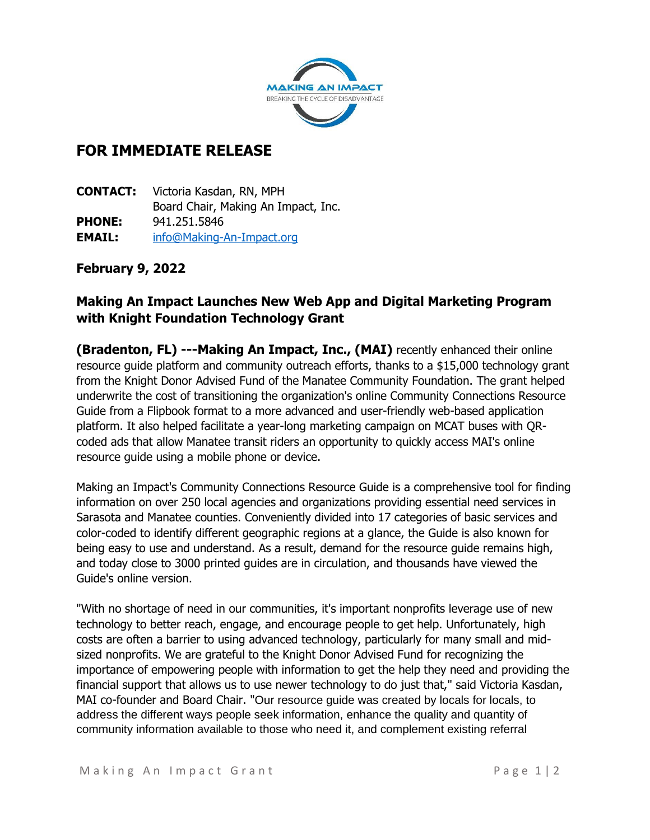

# **FOR IMMEDIATE RELEASE**

**CONTACT:** Victoria Kasdan, RN, MPH Board Chair, Making An Impact, Inc. **PHONE:** 941.251.5846 **EMAIL:** [info@Making-An-Impact.org](mailto:info@Making-An-Impact.org)

### **February 9, 2022**

## **Making An Impact Launches New Web App and Digital Marketing Program with Knight Foundation Technology Grant**

**(Bradenton, FL) ---Making An Impact, Inc., (MAI)** recently enhanced their online resource guide platform and community outreach efforts, thanks to a \$15,000 technology grant from the Knight Donor Advised Fund of the Manatee Community Foundation. The grant helped underwrite the cost of transitioning the organization's online Community Connections Resource Guide from a Flipbook format to a more advanced and user-friendly web-based application platform. It also helped facilitate a year-long marketing campaign on MCAT buses with QRcoded ads that allow Manatee transit riders an opportunity to quickly access MAI's online resource guide using a mobile phone or device.

Making an Impact's Community Connections Resource Guide is a comprehensive tool for finding information on over 250 local agencies and organizations providing essential need services in Sarasota and Manatee counties. Conveniently divided into 17 categories of basic services and color-coded to identify different geographic regions at a glance, the Guide is also known for being easy to use and understand. As a result, demand for the resource guide remains high, and today close to 3000 printed guides are in circulation, and thousands have viewed the Guide's online version.

"With no shortage of need in our communities, it's important nonprofits leverage use of new technology to better reach, engage, and encourage people to get help. Unfortunately, high costs are often a barrier to using advanced technology, particularly for many small and midsized nonprofits. We are grateful to the Knight Donor Advised Fund for recognizing the importance of empowering people with information to get the help they need and providing the financial support that allows us to use newer technology to do just that," said Victoria Kasdan, MAI co-founder and Board Chair. "Our resource guide was created by locals for locals, to address the different ways people seek information, enhance the quality and quantity of community information available to those who need it, and complement existing referral